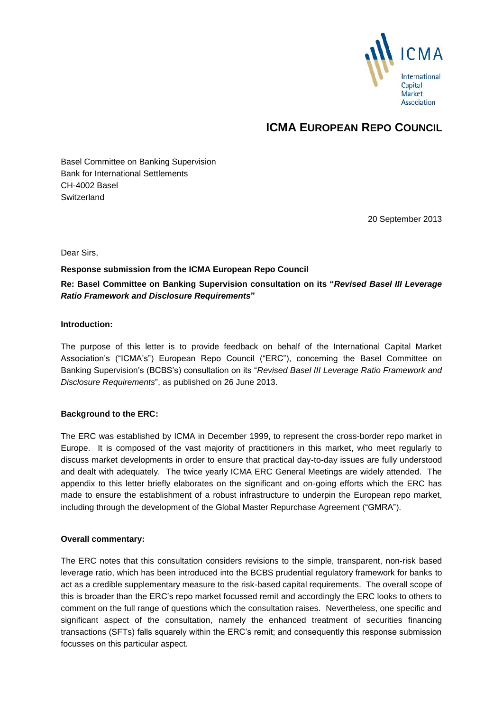

## **ICMA EUROPEAN REPO COUNCIL**

Basel Committee on Banking Supervision Bank for International Settlements CH-4002 Basel **Switzerland** 

20 September 2013

Dear Sirs,

#### **Response submission from the ICMA European Repo Council**

### **Re: Basel Committee on Banking Supervision consultation on its "***Revised Basel III Leverage Ratio Framework and Disclosure Requirements***"**

#### **Introduction:**

The purpose of this letter is to provide feedback on behalf of the International Capital Market Association's ("ICMA's") European Repo Council ("ERC"), concerning the Basel Committee on Banking Supervision's (BCBS's) consultation on its "*Revised Basel III Leverage Ratio Framework and Disclosure Requirements*", as published on 26 June 2013.

#### **Background to the ERC:**

The ERC was established by ICMA in December 1999, to represent the cross-border repo market in Europe. It is composed of the vast majority of practitioners in this market, who meet regularly to discuss market developments in order to ensure that practical day-to-day issues are fully understood and dealt with adequately. The twice yearly ICMA ERC General Meetings are widely attended. The appendix to this letter briefly elaborates on the significant and on-going efforts which the ERC has made to ensure the establishment of a robust infrastructure to underpin the European repo market, including through the development of the Global Master Repurchase Agreement ("GMRA").

#### **Overall commentary:**

The ERC notes that this consultation considers revisions to the simple, transparent, non-risk based leverage ratio, which has been introduced into the BCBS prudential regulatory framework for banks to act as a credible supplementary measure to the risk-based capital requirements. The overall scope of this is broader than the ERC's repo market focussed remit and accordingly the ERC looks to others to comment on the full range of questions which the consultation raises. Nevertheless, one specific and significant aspect of the consultation, namely the enhanced treatment of securities financing transactions (SFTs) falls squarely within the ERC's remit; and consequently this response submission focusses on this particular aspect.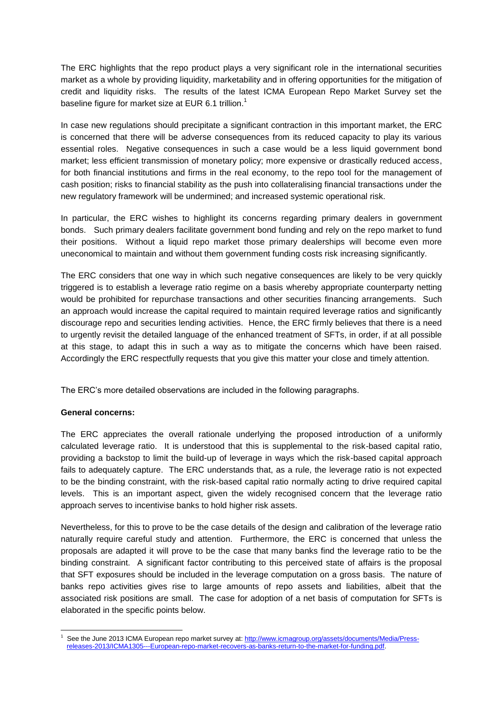The ERC highlights that the repo product plays a very significant role in the international securities market as a whole by providing liquidity, marketability and in offering opportunities for the mitigation of credit and liquidity risks. The results of the latest ICMA European Repo Market Survey set the baseline figure for market size at EUR 6.1 trillion.<sup>1</sup>

In case new regulations should precipitate a significant contraction in this important market, the ERC is concerned that there will be adverse consequences from its reduced capacity to play its various essential roles. Negative consequences in such a case would be a less liquid government bond market; less efficient transmission of monetary policy; more expensive or drastically reduced access, for both financial institutions and firms in the real economy, to the repo tool for the management of cash position; risks to financial stability as the push into collateralising financial transactions under the new regulatory framework will be undermined; and increased systemic operational risk.

In particular, the ERC wishes to highlight its concerns regarding primary dealers in government bonds. Such primary dealers facilitate government bond funding and rely on the repo market to fund their positions. Without a liquid repo market those primary dealerships will become even more uneconomical to maintain and without them government funding costs risk increasing significantly.

The ERC considers that one way in which such negative consequences are likely to be very quickly triggered is to establish a leverage ratio regime on a basis whereby appropriate counterparty netting would be prohibited for repurchase transactions and other securities financing arrangements. Such an approach would increase the capital required to maintain required leverage ratios and significantly discourage repo and securities lending activities. Hence, the ERC firmly believes that there is a need to urgently revisit the detailed language of the enhanced treatment of SFTs, in order, if at all possible at this stage, to adapt this in such a way as to mitigate the concerns which have been raised. Accordingly the ERC respectfully requests that you give this matter your close and timely attention.

The ERC's more detailed observations are included in the following paragraphs.

#### **General concerns:**

The ERC appreciates the overall rationale underlying the proposed introduction of a uniformly calculated leverage ratio. It is understood that this is supplemental to the risk-based capital ratio, providing a backstop to limit the build-up of leverage in ways which the risk-based capital approach fails to adequately capture. The ERC understands that, as a rule, the leverage ratio is not expected to be the binding constraint, with the risk-based capital ratio normally acting to drive required capital levels. This is an important aspect, given the widely recognised concern that the leverage ratio approach serves to incentivise banks to hold higher risk assets.

Nevertheless, for this to prove to be the case details of the design and calibration of the leverage ratio naturally require careful study and attention. Furthermore, the ERC is concerned that unless the proposals are adapted it will prove to be the case that many banks find the leverage ratio to be the binding constraint. A significant factor contributing to this perceived state of affairs is the proposal that SFT exposures should be included in the leverage computation on a gross basis. The nature of banks repo activities gives rise to large amounts of repo assets and liabilities, albeit that the associated risk positions are small. The case for adoption of a net basis of computation for SFTs is elaborated in the specific points below.

<sup>-</sup><sup>1</sup> See the June 2013 ICMA European repo market survey at[: http://www.icmagroup.org/assets/documents/Media/Press](http://www.icmagroup.org/assets/documents/Media/Press-releases-2013/ICMA1305---European-repo-market-recovers-as-banks-return-to-the-market-for-funding.pdf)[releases-2013/ICMA1305---European-repo-market-recovers-as-banks-return-to-the-market-for-funding.pdf.](http://www.icmagroup.org/assets/documents/Media/Press-releases-2013/ICMA1305---European-repo-market-recovers-as-banks-return-to-the-market-for-funding.pdf)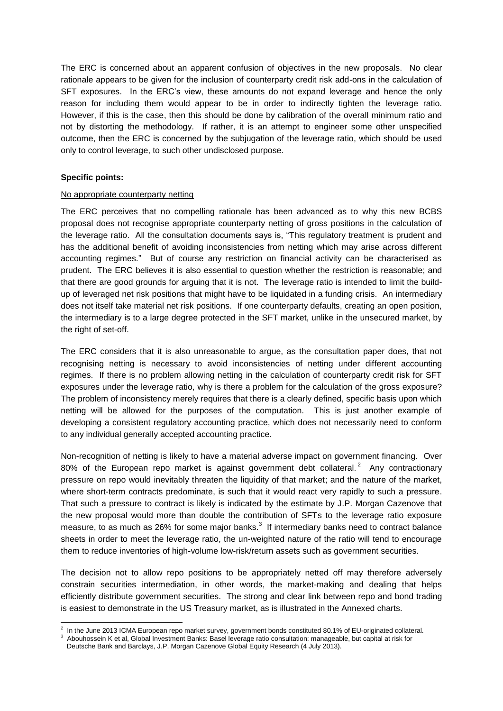The ERC is concerned about an apparent confusion of objectives in the new proposals. No clear rationale appears to be given for the inclusion of counterparty credit risk add-ons in the calculation of SFT exposures. In the ERC's view, these amounts do not expand leverage and hence the only reason for including them would appear to be in order to indirectly tighten the leverage ratio. However, if this is the case, then this should be done by calibration of the overall minimum ratio and not by distorting the methodology. If rather, it is an attempt to engineer some other unspecified outcome, then the ERC is concerned by the subjugation of the leverage ratio, which should be used only to control leverage, to such other undisclosed purpose.

#### **Specific points:**

#### No appropriate counterparty netting

The ERC perceives that no compelling rationale has been advanced as to why this new BCBS proposal does not recognise appropriate counterparty netting of gross positions in the calculation of the leverage ratio. All the consultation documents says is, "This regulatory treatment is prudent and has the additional benefit of avoiding inconsistencies from netting which may arise across different accounting regimes." But of course any restriction on financial activity can be characterised as prudent. The ERC believes it is also essential to question whether the restriction is reasonable; and that there are good grounds for arguing that it is not. The leverage ratio is intended to limit the buildup of leveraged net risk positions that might have to be liquidated in a funding crisis. An intermediary does not itself take material net risk positions. If one counterparty defaults, creating an open position, the intermediary is to a large degree protected in the SFT market, unlike in the unsecured market, by the right of set-off.

The ERC considers that it is also unreasonable to argue, as the consultation paper does, that not recognising netting is necessary to avoid inconsistencies of netting under different accounting regimes. If there is no problem allowing netting in the calculation of counterparty credit risk for SFT exposures under the leverage ratio, why is there a problem for the calculation of the gross exposure? The problem of inconsistency merely requires that there is a clearly defined, specific basis upon which netting will be allowed for the purposes of the computation. This is just another example of developing a consistent regulatory accounting practice, which does not necessarily need to conform to any individual generally accepted accounting practice.

Non-recognition of netting is likely to have a material adverse impact on government financing. Over 80% of the European repo market is against government debt collateral.<sup>2</sup> Any contractionary pressure on repo would inevitably threaten the liquidity of that market; and the nature of the market, where short-term contracts predominate, is such that it would react very rapidly to such a pressure. That such a pressure to contract is likely is indicated by the estimate by J.P. Morgan Cazenove that the new proposal would more than double the contribution of SFTs to the leverage ratio exposure measure, to as much as 26% for some major banks. $3$  If intermediary banks need to contract balance sheets in order to meet the leverage ratio, the un-weighted nature of the ratio will tend to encourage them to reduce inventories of high-volume low-risk/return assets such as government securities.

The decision not to allow repo positions to be appropriately netted off may therefore adversely constrain securities intermediation, in other words, the market-making and dealing that helps efficiently distribute government securities. The strong and clear link between repo and bond trading is easiest to demonstrate in the US Treasury market, as is illustrated in the Annexed charts.

 2 In the June 2013 ICMA European repo market survey, government bonds constituted 80.1% of EU-originated collateral.

<sup>3</sup> Abouhossein K et al, Global Investment Banks: Basel leverage ratio consultation: manageable, but capital at risk for

Deutsche Bank and Barclays, J.P. Morgan Cazenove Global Equity Research (4 July 2013).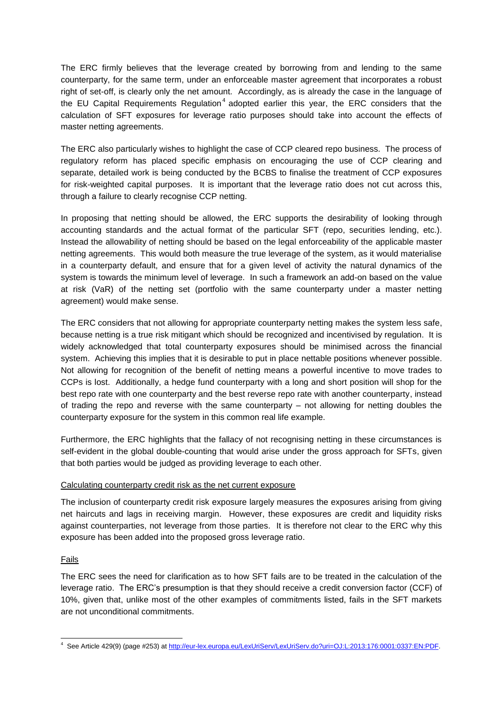The ERC firmly believes that the leverage created by borrowing from and lending to the same counterparty, for the same term, under an enforceable master agreement that incorporates a robust right of set-off, is clearly only the net amount. Accordingly, as is already the case in the language of the EU Capital Requirements Regulation<sup>4</sup> adopted earlier this year, the ERC considers that the calculation of SFT exposures for leverage ratio purposes should take into account the effects of master netting agreements.

The ERC also particularly wishes to highlight the case of CCP cleared repo business. The process of regulatory reform has placed specific emphasis on encouraging the use of CCP clearing and separate, detailed work is being conducted by the BCBS to finalise the treatment of CCP exposures for risk-weighted capital purposes. It is important that the leverage ratio does not cut across this, through a failure to clearly recognise CCP netting.

In proposing that netting should be allowed, the ERC supports the desirability of looking through accounting standards and the actual format of the particular SFT (repo, securities lending, etc.). Instead the allowability of netting should be based on the legal enforceability of the applicable master netting agreements. This would both measure the true leverage of the system, as it would materialise in a counterparty default, and ensure that for a given level of activity the natural dynamics of the system is towards the minimum level of leverage. In such a framework an add-on based on the value at risk (VaR) of the netting set (portfolio with the same counterparty under a master netting agreement) would make sense.

The ERC considers that not allowing for appropriate counterparty netting makes the system less safe, because netting is a true risk mitigant which should be recognized and incentivised by regulation. It is widely acknowledged that total counterparty exposures should be minimised across the financial system. Achieving this implies that it is desirable to put in place nettable positions whenever possible. Not allowing for recognition of the benefit of netting means a powerful incentive to move trades to CCPs is lost. Additionally, a hedge fund counterparty with a long and short position will shop for the best repo rate with one counterparty and the best reverse repo rate with another counterparty, instead of trading the repo and reverse with the same counterparty – not allowing for netting doubles the counterparty exposure for the system in this common real life example.

Furthermore, the ERC highlights that the fallacy of not recognising netting in these circumstances is self-evident in the global double-counting that would arise under the gross approach for SFTs, given that both parties would be judged as providing leverage to each other.

#### Calculating counterparty credit risk as the net current exposure

The inclusion of counterparty credit risk exposure largely measures the exposures arising from giving net haircuts and lags in receiving margin. However, these exposures are credit and liquidity risks against counterparties, not leverage from those parties. It is therefore not clear to the ERC why this exposure has been added into the proposed gross leverage ratio.

#### Fails

The ERC sees the need for clarification as to how SFT fails are to be treated in the calculation of the leverage ratio. The ERC's presumption is that they should receive a credit conversion factor (CCF) of 10%, given that, unlike most of the other examples of commitments listed, fails in the SFT markets are not unconditional commitments.

 4 See Article 429(9) (page #253) a[t http://eur-lex.europa.eu/LexUriServ/LexUriServ.do?uri=OJ:L:2013:176:0001:0337:EN:PDF.](http://eur-lex.europa.eu/LexUriServ/LexUriServ.do?uri=OJ:L:2013:176:0001:0337:EN:PDF)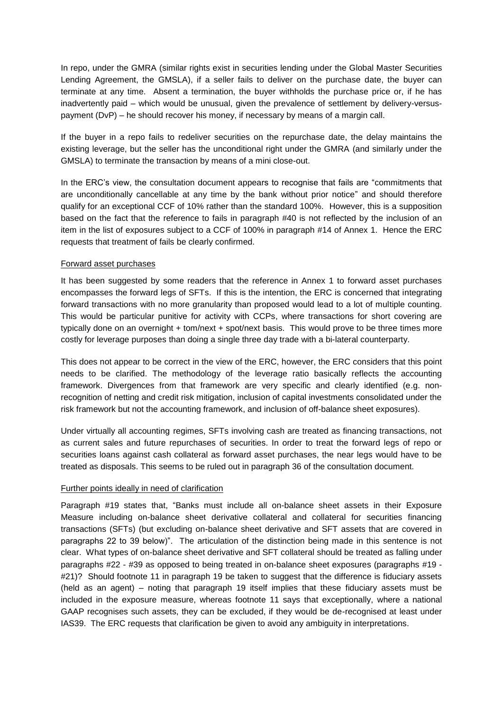In repo, under the GMRA (similar rights exist in securities lending under the Global Master Securities Lending Agreement, the GMSLA), if a seller fails to deliver on the purchase date, the buyer can terminate at any time. Absent a termination, the buyer withholds the purchase price or, if he has inadvertently paid – which would be unusual, given the prevalence of settlement by delivery-versuspayment (DvP) – he should recover his money, if necessary by means of a margin call.

If the buyer in a repo fails to redeliver securities on the repurchase date, the delay maintains the existing leverage, but the seller has the unconditional right under the GMRA (and similarly under the GMSLA) to terminate the transaction by means of a mini close-out.

In the ERC's view, the consultation document appears to recognise that fails are "commitments that are unconditionally cancellable at any time by the bank without prior notice" and should therefore qualify for an exceptional CCF of 10% rather than the standard 100%. However, this is a supposition based on the fact that the reference to fails in paragraph #40 is not reflected by the inclusion of an item in the list of exposures subject to a CCF of 100% in paragraph #14 of Annex 1. Hence the ERC requests that treatment of fails be clearly confirmed.

#### Forward asset purchases

It has been suggested by some readers that the reference in Annex 1 to forward asset purchases encompasses the forward legs of SFTs. If this is the intention, the ERC is concerned that integrating forward transactions with no more granularity than proposed would lead to a lot of multiple counting. This would be particular punitive for activity with CCPs, where transactions for short covering are typically done on an overnight + tom/next + spot/next basis. This would prove to be three times more costly for leverage purposes than doing a single three day trade with a bi-lateral counterparty.

This does not appear to be correct in the view of the ERC, however, the ERC considers that this point needs to be clarified. The methodology of the leverage ratio basically reflects the accounting framework. Divergences from that framework are very specific and clearly identified (e.g. nonrecognition of netting and credit risk mitigation, inclusion of capital investments consolidated under the risk framework but not the accounting framework, and inclusion of off-balance sheet exposures).

Under virtually all accounting regimes, SFTs involving cash are treated as financing transactions, not as current sales and future repurchases of securities. In order to treat the forward legs of repo or securities loans against cash collateral as forward asset purchases, the near legs would have to be treated as disposals. This seems to be ruled out in paragraph 36 of the consultation document.

#### Further points ideally in need of clarification

Paragraph #19 states that, "Banks must include all on-balance sheet assets in their Exposure Measure including on-balance sheet derivative collateral and collateral for securities financing transactions (SFTs) (but excluding on-balance sheet derivative and SFT assets that are covered in paragraphs 22 to 39 below)". The articulation of the distinction being made in this sentence is not clear. What types of on-balance sheet derivative and SFT collateral should be treated as falling under paragraphs #22 - #39 as opposed to being treated in on-balance sheet exposures (paragraphs #19 - #21)? Should footnote 11 in paragraph 19 be taken to suggest that the difference is fiduciary assets (held as an agent) – noting that paragraph 19 itself implies that these fiduciary assets must be included in the exposure measure, whereas footnote 11 says that exceptionally, where a national GAAP recognises such assets, they can be excluded, if they would be de-recognised at least under IAS39. The ERC requests that clarification be given to avoid any ambiguity in interpretations.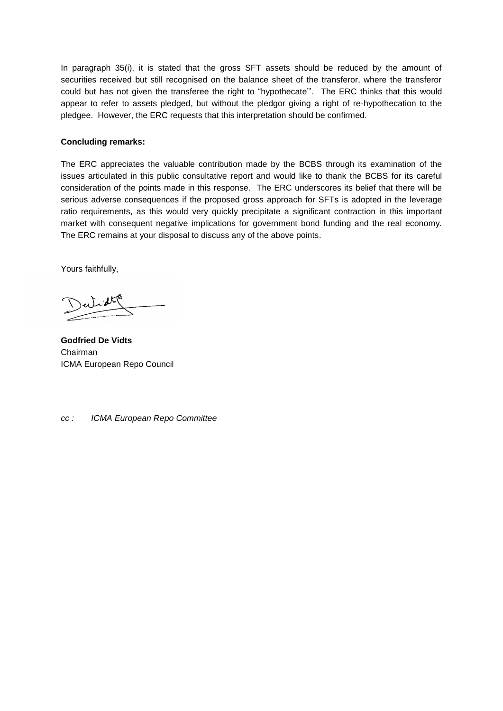In paragraph 35(i), it is stated that the gross SFT assets should be reduced by the amount of securities received but still recognised on the balance sheet of the transferor, where the transferor could but has not given the transferee the right to "hypothecate"'. The ERC thinks that this would appear to refer to assets pledged, but without the pledgor giving a right of re-hypothecation to the pledgee. However, the ERC requests that this interpretation should be confirmed.

#### **Concluding remarks:**

The ERC appreciates the valuable contribution made by the BCBS through its examination of the issues articulated in this public consultative report and would like to thank the BCBS for its careful consideration of the points made in this response. The ERC underscores its belief that there will be serious adverse consequences if the proposed gross approach for SFTs is adopted in the leverage ratio requirements, as this would very quickly precipitate a significant contraction in this important market with consequent negative implications for government bond funding and the real economy. The ERC remains at your disposal to discuss any of the above points.

Yours faithfully,

**Godfried De Vidts** Chairman ICMA European Repo Council

*cc : ICMA European Repo Committee*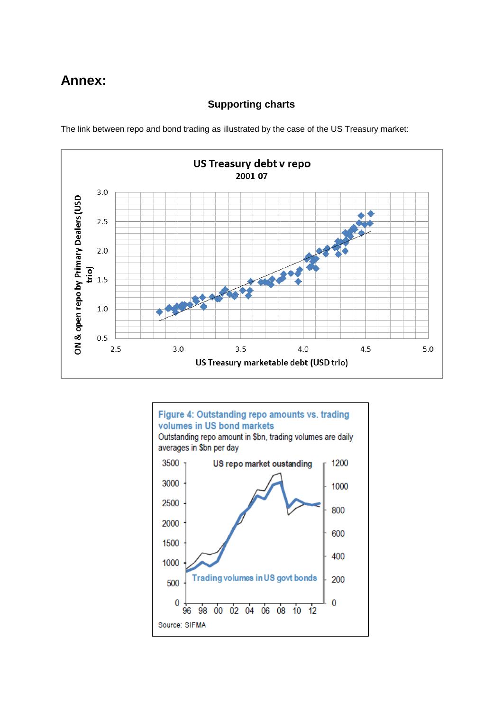# **Annex:**

## **Supporting charts**

The link between repo and bond trading as illustrated by the case of the US Treasury market: